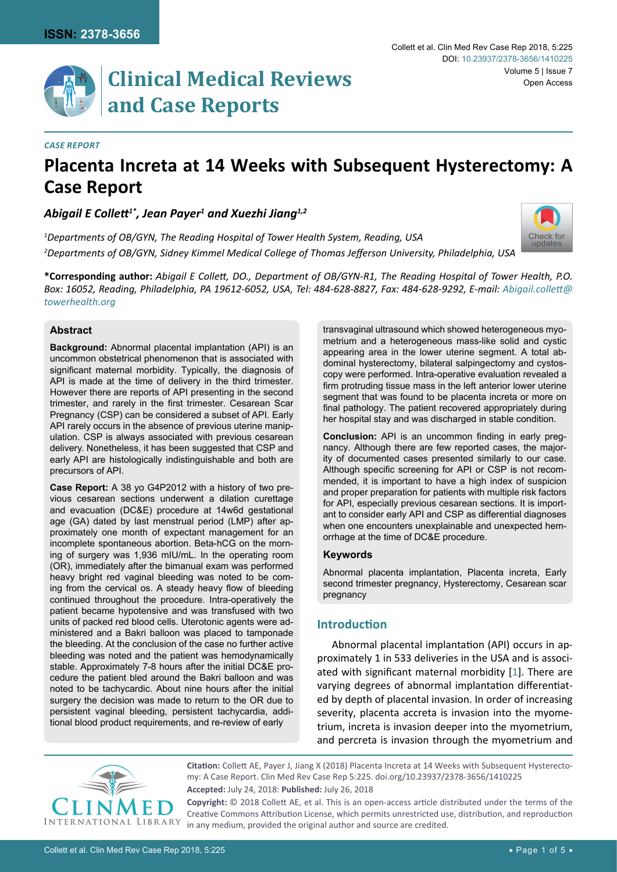[Check for](http://crossmark.crossref.org/dialog/?doi=10.23937/2378-3656/1410225&domain=pdf) updates



### *Case Report*

# **Placenta Increta at 14 Weeks with Subsequent Hysterectomy: A Case Report**

*Abigail E Collett1\*, Jean Payer1 and Xuezhi Jiang1,2*

*1 Departments of OB/GYN, The Reading Hospital of Tower Health System, Reading, USA 2 Departments of OB/GYN, Sidney Kimmel Medical College of Thomas Jefferson University, Philadelphia, USA*

**\*Corresponding author:** *Abigail E Collett, DO., Department of OB/GYN-R1, The Reading Hospital of Tower Health, P.O. Box: 16052, Reading, Philadelphia, PA 19612-6052, USA, Tel: 484-628-8827, Fax: 484-628-9292, E-mail: [Abigail.collett@](mailto:Abigail.collett@towerhealth.org) [towerhealth.org](mailto:Abigail.collett@towerhealth.org)*

### **Abstract**

**Background:** Abnormal placental implantation (API) is an uncommon obstetrical phenomenon that is associated with significant maternal morbidity. Typically, the diagnosis of API is made at the time of delivery in the third trimester. However there are reports of API presenting in the second trimester, and rarely in the first trimester. Cesarean Scar Pregnancy (CSP) can be considered a subset of API. Early API rarely occurs in the absence of previous uterine manipulation. CSP is always associated with previous cesarean delivery. Nonetheless, it has been suggested that CSP and early API are histologically indistinguishable and both are precursors of API.

**Case Report:** A 38 yo G4P2012 with a history of two previous cesarean sections underwent a dilation curettage and evacuation (DC&E) procedure at 14w6d gestational age (GA) dated by last menstrual period (LMP) after approximately one month of expectant management for an incomplete spontaneous abortion. Beta-hCG on the morning of surgery was 1,936 mIU/mL. In the operating room (OR), immediately after the bimanual exam was performed heavy bright red vaginal bleeding was noted to be coming from the cervical os. A steady heavy flow of bleeding continued throughout the procedure. Intra-operatively the patient became hypotensive and was transfused with two units of packed red blood cells. Uterotonic agents were administered and a Bakri balloon was placed to tamponade the bleeding. At the conclusion of the case no further active bleeding was noted and the patient was hemodynamically stable. Approximately 7-8 hours after the initial DC&E procedure the patient bled around the Bakri balloon and was noted to be tachycardic. About nine hours after the initial surgery the decision was made to return to the OR due to persistent vaginal bleeding, persistent tachycardia, additional blood product requirements, and re-review of early

transvaginal ultrasound which showed heterogeneous myometrium and a heterogeneous mass-like solid and cystic appearing area in the lower uterine segment. A total abdominal hysterectomy, bilateral salpingectomy and cystoscopy were performed. Intra-operative evaluation revealed a firm protruding tissue mass in the left anterior lower uterine segment that was found to be placenta increta or more on final pathology. The patient recovered appropriately during her hospital stay and was discharged in stable condition.

**Conclusion:** API is an uncommon finding in early pregnancy. Although there are few reported cases, the majority of documented cases presented similarly to our case. Although specific screening for API or CSP is not recommended, it is important to have a high index of suspicion and proper preparation for patients with multiple risk factors for API, especially previous cesarean sections. It is important to consider early API and CSP as differential diagnoses when one encounters unexplainable and unexpected hemorrhage at the time of DC&E procedure.

#### **Keywords**

Abnormal placenta implantation, Placenta increta, Early second trimester pregnancy, Hysterectomy, Cesarean scar pregnancy

## **Introduction**

Abnormal placental implantation (API) occurs in approximately 1 in 533 deliveries in the USA and is associated with significant maternal morbidity [\[1\]](#page-4-0). There are varying degrees of abnormal implantation differentiated by depth of placental invasion. In order of increasing severity, placenta accreta is invasion into the myometrium, increta is invasion deeper into the myometrium, and percreta is invasion through the myometrium and



**Citation:** Collett AE, Payer J, Jiang X (2018) Placenta Increta at 14 Weeks with Subsequent Hysterectomy: A Case Report. Clin Med Rev Case Rep 5:225. [doi.org/10.23937/2378-3656/1410225](https://doi.org/10.23937/2378-3656/1410225) **Accepted:** July 24, 2018: **Published:** July 26, 2018

**Copyright:** © 2018 Collett AE, et al. This is an open-access article distributed under the terms of the Creative Commons Attribution License, which permits unrestricted use, distribution, and reproduction in any medium, provided the original author and source are credited.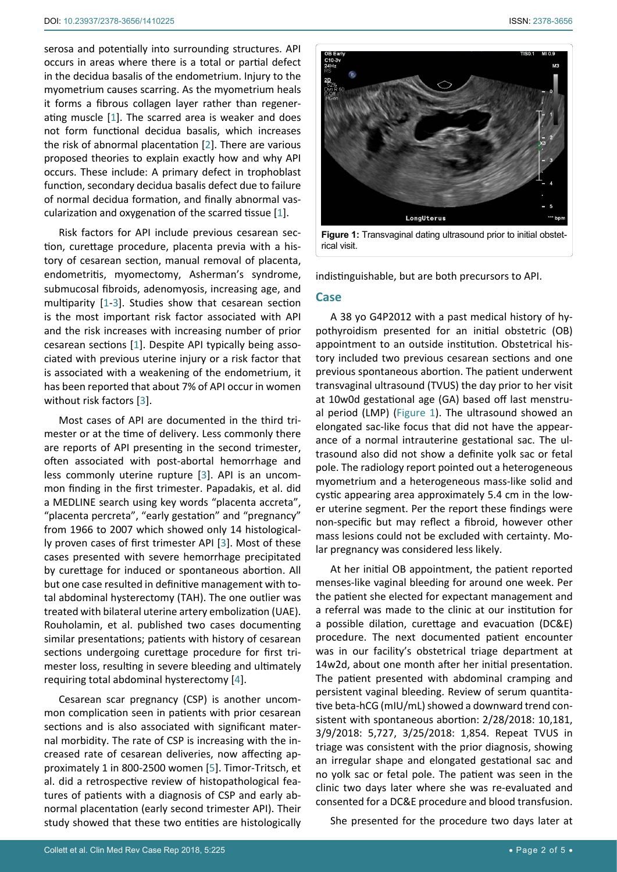serosa and potentially into surrounding structures. API occurs in areas where there is a total or partial defect in the decidua basalis of the endometrium. Injury to the myometrium causes scarring. As the myometrium heals it forms a fibrous collagen layer rather than regenerating muscle [[1](#page-4-0)]. The scarred area is weaker and does not form functional decidua basalis, which increases the risk of abnormal placentation [[2](#page-4-1)]. There are various proposed theories to explain exactly how and why API occurs. These include: A primary defect in trophoblast function, secondary decidua basalis defect due to failure of normal decidua formation, and finally abnormal vascularization and oxygenation of the scarred tissue [[1](#page-4-0)].

Risk factors for API include previous cesarean section, curettage procedure, placenta previa with a history of cesarean section, manual removal of placenta, endometritis, myomectomy, Asherman's syndrome, submucosal fibroids, adenomyosis, increasing age, and multiparity [[1](#page-4-0)-[3](#page-4-2)]. Studies show that cesarean section is the most important risk factor associated with API and the risk increases with increasing number of prior cesarean sections [[1\]](#page-4-0). Despite API typically being associated with previous uterine injury or a risk factor that is associated with a weakening of the endometrium, it has been reported that about 7% of API occur in women without risk factors [\[3\]](#page-4-2).

Most cases of API are documented in the third trimester or at the time of delivery. Less commonly there are reports of API presenting in the second trimester, often associated with post-abortal hemorrhage and less commonly uterine rupture [\[3\]](#page-4-2). API is an uncommon finding in the first trimester. Papadakis, et al. did a MEDLINE search using key words "placenta accreta", "placenta percreta", "early gestation" and "pregnancy" from 1966 to 2007 which showed only 14 histologically proven cases of first trimester API [[3](#page-4-2)]. Most of these cases presented with severe hemorrhage precipitated by curettage for induced or spontaneous abortion. All but one case resulted in definitive management with total abdominal hysterectomy (TAH). The one outlier was treated with bilateral uterine artery embolization (UAE). Rouholamin, et al. published two cases documenting similar presentations; patients with history of cesarean sections undergoing curettage procedure for first trimester loss, resulting in severe bleeding and ultimately requiring total abdominal hysterectomy [\[4](#page-4-3)].

Cesarean scar pregnancy (CSP) is another uncommon complication seen in patients with prior cesarean sections and is also associated with significant maternal morbidity. The rate of CSP is increasing with the increased rate of cesarean deliveries, now affecting approximately 1 in 800-2500 women [\[5\]](#page-4-4). Timor-Tritsch, et al. did a retrospective review of histopathological features of patients with a diagnosis of CSP and early abnormal placentation (early second trimester API). Their study showed that these two entities are histologically

<span id="page-1-0"></span>

indistinguishable, but are both precursors to API.

### **Case**

A 38 yo G4P2012 with a past medical history of hypothyroidism presented for an initial obstetric (OB) appointment to an outside institution. Obstetrical history included two previous cesarean sections and one previous spontaneous abortion. The patient underwent transvaginal ultrasound (TVUS) the day prior to her visit at 10w0d gestational age (GA) based off last menstrual period (LMP) ([Figure 1](#page-1-0)). The ultrasound showed an elongated sac-like focus that did not have the appearance of a normal intrauterine gestational sac. The ultrasound also did not show a definite yolk sac or fetal pole. The radiology report pointed out a heterogeneous myometrium and a heterogeneous mass-like solid and cystic appearing area approximately 5.4 cm in the lower uterine segment. Per the report these findings were non-specific but may reflect a fibroid, however other mass lesions could not be excluded with certainty. Molar pregnancy was considered less likely.

At her initial OB appointment, the patient reported menses-like vaginal bleeding for around one week. Per the patient she elected for expectant management and a referral was made to the clinic at our institution for a possible dilation, curettage and evacuation (DC&E) procedure. The next documented patient encounter was in our facility's obstetrical triage department at 14w2d, about one month after her initial presentation. The patient presented with abdominal cramping and persistent vaginal bleeding. Review of serum quantitative beta-hCG (mIU/mL) showed a downward trend consistent with spontaneous abortion: 2/28/2018: 10,181, 3/9/2018: 5,727, 3/25/2018: 1,854. Repeat TVUS in triage was consistent with the prior diagnosis, showing an irregular shape and elongated gestational sac and no yolk sac or fetal pole. The patient was seen in the clinic two days later where she was re-evaluated and consented for a DC&E procedure and blood transfusion.

She presented for the procedure two days later at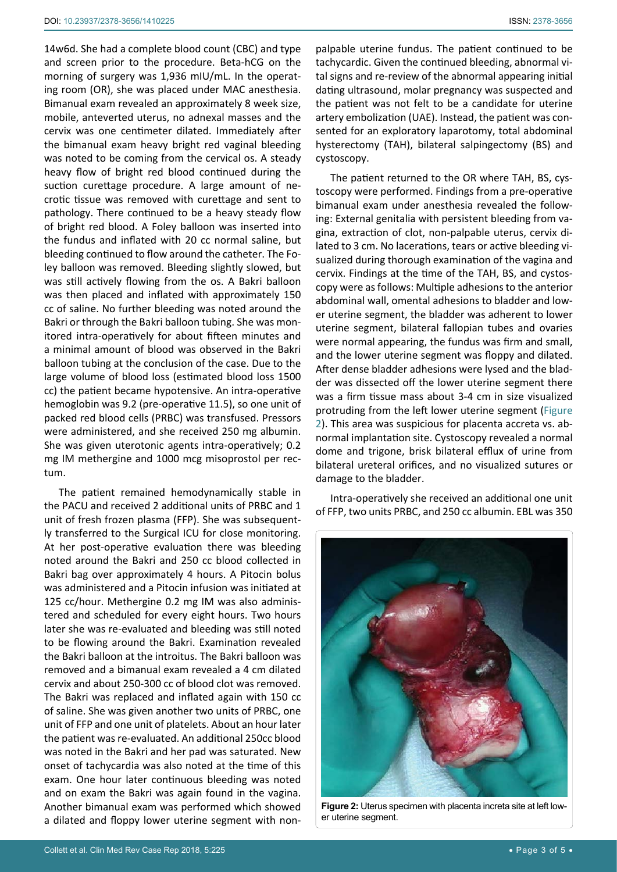14w6d. She had a complete blood count (CBC) and type and screen prior to the procedure. Beta-hCG on the morning of surgery was 1,936 mIU/mL. In the operating room (OR), she was placed under MAC anesthesia. Bimanual exam revealed an approximately 8 week size, mobile, anteverted uterus, no adnexal masses and the cervix was one centimeter dilated. Immediately after the bimanual exam heavy bright red vaginal bleeding was noted to be coming from the cervical os. A steady heavy flow of bright red blood continued during the suction curettage procedure. A large amount of necrotic tissue was removed with curettage and sent to pathology. There continued to be a heavy steady flow of bright red blood. A Foley balloon was inserted into the fundus and inflated with 20 cc normal saline, but bleeding continued to flow around the catheter. The Foley balloon was removed. Bleeding slightly slowed, but was still actively flowing from the os. A Bakri balloon was then placed and inflated with approximately 150 cc of saline. No further bleeding was noted around the Bakri or through the Bakri balloon tubing. She was monitored intra-operatively for about fifteen minutes and a minimal amount of blood was observed in the Bakri balloon tubing at the conclusion of the case. Due to the large volume of blood loss (estimated blood loss 1500 cc) the patient became hypotensive. An intra-operative hemoglobin was 9.2 (pre-operative 11.5), so one unit of packed red blood cells (PRBC) was transfused. Pressors were administered, and she received 250 mg albumin. She was given uterotonic agents intra-operatively; 0.2 mg IM methergine and 1000 mcg misoprostol per rectum.

The patient remained hemodynamically stable in the PACU and received 2 additional units of PRBC and 1 unit of fresh frozen plasma (FFP). She was subsequently transferred to the Surgical ICU for close monitoring. At her post-operative evaluation there was bleeding noted around the Bakri and 250 cc blood collected in Bakri bag over approximately 4 hours. A Pitocin bolus was administered and a Pitocin infusion was initiated at 125 cc/hour. Methergine 0.2 mg IM was also administered and scheduled for every eight hours. Two hours later she was re-evaluated and bleeding was still noted to be flowing around the Bakri. Examination revealed the Bakri balloon at the introitus. The Bakri balloon was removed and a bimanual exam revealed a 4 cm dilated cervix and about 250-300 cc of blood clot was removed. The Bakri was replaced and inflated again with 150 cc of saline. She was given another two units of PRBC, one unit of FFP and one unit of platelets. About an hour later the patient was re-evaluated. An additional 250cc blood was noted in the Bakri and her pad was saturated. New onset of tachycardia was also noted at the time of this exam. One hour later continuous bleeding was noted and on exam the Bakri was again found in the vagina. Another bimanual exam was performed which showed a dilated and floppy lower uterine segment with non-

palpable uterine fundus. The patient continued to be tachycardic. Given the continued bleeding, abnormal vital signs and re-review of the abnormal appearing initial dating ultrasound, molar pregnancy was suspected and the patient was not felt to be a candidate for uterine artery embolization (UAE). Instead, the patient was consented for an exploratory laparotomy, total abdominal hysterectomy (TAH), bilateral salpingectomy (BS) and cystoscopy.

The patient returned to the OR where TAH, BS, cystoscopy were performed. Findings from a pre-operative bimanual exam under anesthesia revealed the following: External genitalia with persistent bleeding from vagina, extraction of clot, non-palpable uterus, cervix dilated to 3 cm. No lacerations, tears or active bleeding visualized during thorough examination of the vagina and cervix. Findings at the time of the TAH, BS, and cystoscopy were as follows: Multiple adhesions to the anterior abdominal wall, omental adhesions to bladder and lower uterine segment, the bladder was adherent to lower uterine segment, bilateral fallopian tubes and ovaries were normal appearing, the fundus was firm and small, and the lower uterine segment was floppy and dilated. After dense bladder adhesions were lysed and the bladder was dissected off the lower uterine segment there was a firm tissue mass about 3-4 cm in size visualized protruding from the left lower uterine segment ([Figure](#page-2-0)  [2](#page-2-0)). This area was suspicious for placenta accreta vs. abnormal implantation site. Cystoscopy revealed a normal dome and trigone, brisk bilateral efflux of urine from bilateral ureteral orifices, and no visualized sutures or damage to the bladder.

Intra-operatively she received an additional one unit of FFP, two units PRBC, and 250 cc albumin. EBL was 350

<span id="page-2-0"></span>

**Figure 2:** Uterus specimen with placenta increta site at left lower uterine segment.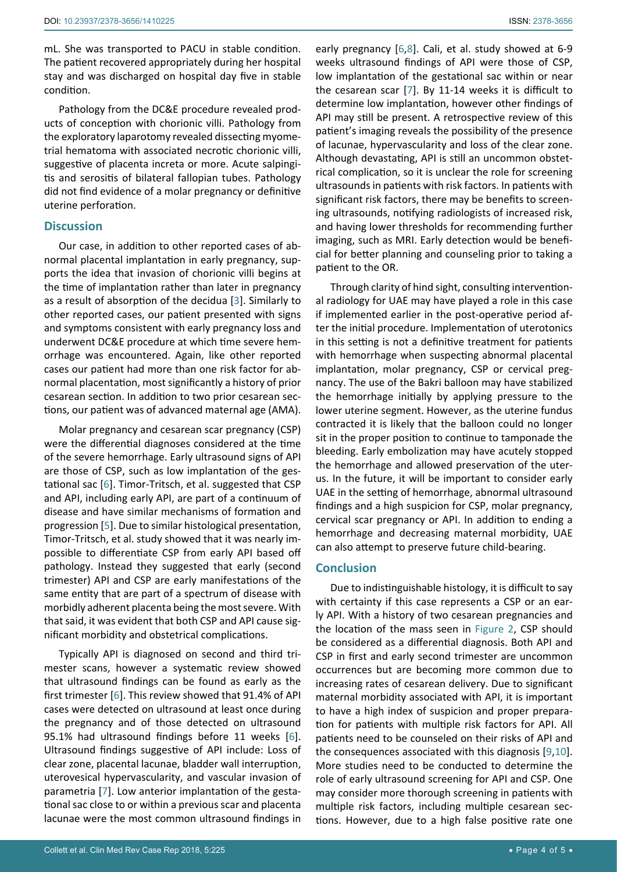Pathology from the DC&E procedure revealed products of conception with chorionic villi. Pathology from the exploratory laparotomy revealed dissecting myometrial hematoma with associated necrotic chorionic villi, suggestive of placenta increta or more. Acute salpingitis and serositis of bilateral fallopian tubes. Pathology did not find evidence of a molar pregnancy or definitive uterine perforation.

# **Discussion**

Our case, in addition to other reported cases of abnormal placental implantation in early pregnancy, supports the idea that invasion of chorionic villi begins at the time of implantation rather than later in pregnancy as a result of absorption of the decidua [[3](#page-4-2)]. Similarly to other reported cases, our patient presented with signs and symptoms consistent with early pregnancy loss and underwent DC&E procedure at which time severe hemorrhage was encountered. Again, like other reported cases our patient had more than one risk factor for abnormal placentation, most significantly a history of prior cesarean section. In addition to two prior cesarean sections, our patient was of advanced maternal age (AMA).

Molar pregnancy and cesarean scar pregnancy (CSP) were the differential diagnoses considered at the time of the severe hemorrhage. Early ultrasound signs of API are those of CSP, such as low implantation of the gestational sac [\[6\]](#page-4-5). Timor-Tritsch, et al. suggested that CSP and API, including early API, are part of a continuum of disease and have similar mechanisms of formation and progression [[5](#page-4-4)]. Due to similar histological presentation, Timor-Tritsch, et al. study showed that it was nearly impossible to differentiate CSP from early API based off pathology. Instead they suggested that early (second trimester) API and CSP are early manifestations of the same entity that are part of a spectrum of disease with morbidly adherent placenta being the most severe. With that said, it was evident that both CSP and API cause significant morbidity and obstetrical complications.

Typically API is diagnosed on second and third trimester scans, however a systematic review showed that ultrasound findings can be found as early as the first trimester [[6](#page-4-5)]. This review showed that 91.4% of API cases were detected on ultrasound at least once during the pregnancy and of those detected on ultrasound 95.1% had ultrasound findings before 11 weeks [[6](#page-4-5)]. Ultrasound findings suggestive of API include: Loss of clear zone, placental lacunae, bladder wall interruption, uterovesical hypervascularity, and vascular invasion of parametria [\[7](#page-4-7)]. Low anterior implantation of the gestational sac close to or within a previous scar and placenta lacunae were the most common ultrasound findings in

early pregnancy [\[6](#page-4-5),[8](#page-4-6)]. Cali, et al. study showed at 6-9 weeks ultrasound findings of API were those of CSP, low implantation of the gestational sac within or near the cesarean scar [[7](#page-4-7)]. By 11-14 weeks it is difficult to determine low implantation, however other findings of API may still be present. A retrospective review of this patient's imaging reveals the possibility of the presence of lacunae, hypervascularity and loss of the clear zone. Although devastating, API is still an uncommon obstetrical complication, so it is unclear the role for screening ultrasounds in patients with risk factors. In patients with significant risk factors, there may be benefits to screening ultrasounds, notifying radiologists of increased risk, and having lower thresholds for recommending further imaging, such as MRI. Early detection would be beneficial for better planning and counseling prior to taking a patient to the OR.

Through clarity of hind sight, consulting interventional radiology for UAE may have played a role in this case if implemented earlier in the post-operative period after the initial procedure. Implementation of uterotonics in this setting is not a definitive treatment for patients with hemorrhage when suspecting abnormal placental implantation, molar pregnancy, CSP or cervical pregnancy. The use of the Bakri balloon may have stabilized the hemorrhage initially by applying pressure to the lower uterine segment. However, as the uterine fundus contracted it is likely that the balloon could no longer sit in the proper position to continue to tamponade the bleeding. Early embolization may have acutely stopped the hemorrhage and allowed preservation of the uterus. In the future, it will be important to consider early UAE in the setting of hemorrhage, abnormal ultrasound findings and a high suspicion for CSP, molar pregnancy, cervical scar pregnancy or API. In addition to ending a hemorrhage and decreasing maternal morbidity, UAE can also attempt to preserve future child-bearing.

# **Conclusion**

Due to indistinguishable histology, it is difficult to say with certainty if this case represents a CSP or an early API. With a history of two cesarean pregnancies and the location of the mass seen in [Figure 2,](#page-2-0) CSP should be considered as a differential diagnosis. Both API and CSP in first and early second trimester are uncommon occurrences but are becoming more common due to increasing rates of cesarean delivery. Due to significant maternal morbidity associated with API, it is important to have a high index of suspicion and proper preparation for patients with multiple risk factors for API. All patients need to be counseled on their risks of API and the consequences associated with this diagnosis [\[9](#page-4-8)[,10\]](#page-4-9). More studies need to be conducted to determine the role of early ultrasound screening for API and CSP. One may consider more thorough screening in patients with multiple risk factors, including multiple cesarean sections. However, due to a high false positive rate one